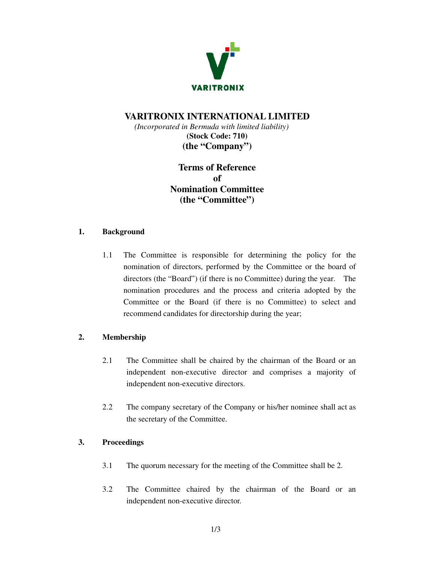

# **VARITRONIX INTERNATIONAL LIMITED**

*(Incorporated in Bermuda with limited liability)*  **(Stock Code: 710) (the "Company")** 

> **Terms of Reference of Nomination Committee (the "Committee")**

#### **1. Background**

1.1 The Committee is responsible for determining the policy for the nomination of directors, performed by the Committee or the board of directors (the "Board") (if there is no Committee) during the year. The nomination procedures and the process and criteria adopted by the Committee or the Board (if there is no Committee) to select and recommend candidates for directorship during the year;

## **2. Membership**

- 2.1 The Committee shall be chaired by the chairman of the Board or an independent non-executive director and comprises a majority of independent non-executive directors.
- 2.2 The company secretary of the Company or his/her nominee shall act as the secretary of the Committee.

## **3. Proceedings**

- 3.1 The quorum necessary for the meeting of the Committee shall be 2.
- 3.2 The Committee chaired by the chairman of the Board or an independent non-executive director.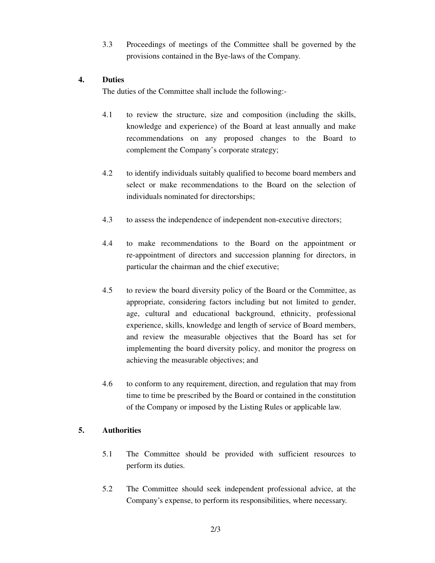3.3 Proceedings of meetings of the Committee shall be governed by the provisions contained in the Bye-laws of the Company.

#### **4. Duties**

The duties of the Committee shall include the following:-

- 4.1 to review the structure, size and composition (including the skills, knowledge and experience) of the Board at least annually and make recommendations on any proposed changes to the Board to complement the Company's corporate strategy;
- 4.2 to identify individuals suitably qualified to become board members and select or make recommendations to the Board on the selection of individuals nominated for directorships;
- 4.3 to assess the independence of independent non-executive directors;
- 4.4 to make recommendations to the Board on the appointment or re-appointment of directors and succession planning for directors, in particular the chairman and the chief executive;
- 4.5 to review the board diversity policy of the Board or the Committee, as appropriate, considering factors including but not limited to gender, age, cultural and educational background, ethnicity, professional experience, skills, knowledge and length of service of Board members, and review the measurable objectives that the Board has set for implementing the board diversity policy, and monitor the progress on achieving the measurable objectives; and
- 4.6 to conform to any requirement, direction, and regulation that may from time to time be prescribed by the Board or contained in the constitution of the Company or imposed by the Listing Rules or applicable law.

## **5. Authorities**

- 5.1 The Committee should be provided with sufficient resources to perform its duties.
- 5.2 The Committee should seek independent professional advice, at the Company's expense, to perform its responsibilities, where necessary.